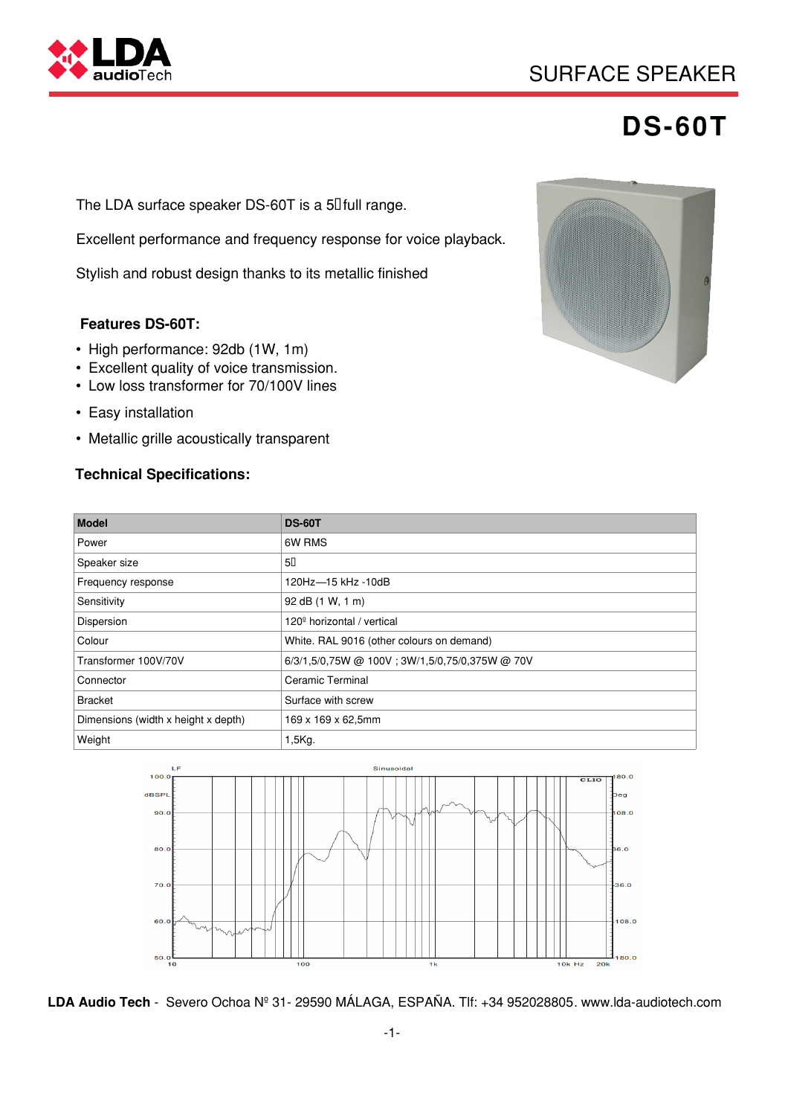

## **DS-60T**

The LDA surface speaker DS-60T is a 5 $\mathbb I$  full range.

Excellent performance and frequency response for voice playback.

Stylish and robust design thanks to its metallic finished

#### **Features DS-60T:**

- High performance: 92db (1W, 1m)
- Excellent quality of voice transmission.
- Low loss transformer for 70/100V lines
- Easy installation
- Metallic grille acoustically transparent

#### **Technical Specifications:**



| <b>Model</b>                        | <b>DS-60T</b>                                  |
|-------------------------------------|------------------------------------------------|
| Power                               | 6W RMS                                         |
| Speaker size                        | 50                                             |
| Frequency response                  | 120Hz-15 kHz -10dB                             |
| Sensitivity                         | 92 dB (1 W, 1 m)                               |
| Dispersion                          | 120 <sup>°</sup> horizontal / vertical         |
| Colour                              | White. RAL 9016 (other colours on demand)      |
| Transformer 100V/70V                | 6/3/1,5/0,75W @ 100V; 3W/1,5/0,75/0,375W @ 70V |
| Connector                           | <b>Ceramic Terminal</b>                        |
| <b>Bracket</b>                      | Surface with screw                             |
| Dimensions (width x height x depth) | 169 x 169 x 62,5mm                             |
| Weight                              | 1,5Kg.                                         |



**LDA Audio Tech** - Severo Ochoa Nº 31- 29590 MÁLAGA, ESPAÑA. Tlf: +34 952028805. www.lda-audiotech.com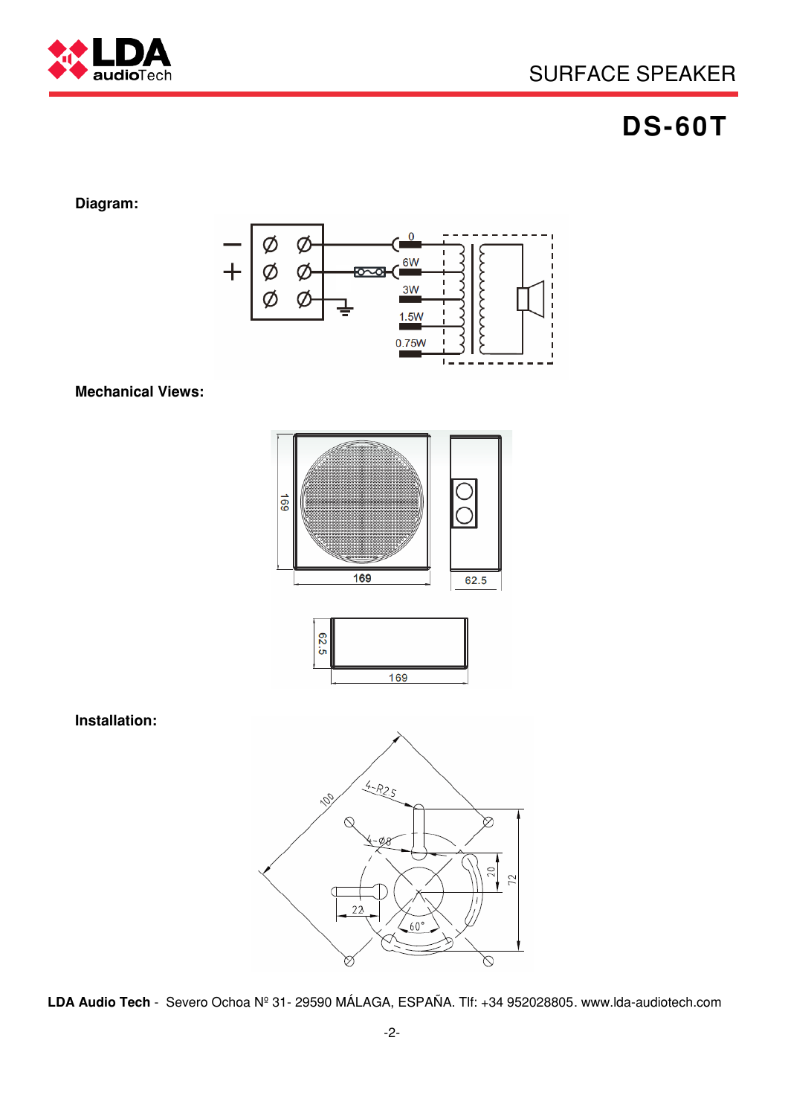

# **DS-60T**

## **Diagram:**



### **Mechanical Views:**



**Installation:**

**LDA Audio Tech** - Severo Ochoa Nº 31- 29590 MÁLAGA, ESPAÑA. Tlf: +34 952028805. www.lda-audiotech.com

♡

 $.60^{\circ}$ 

Ø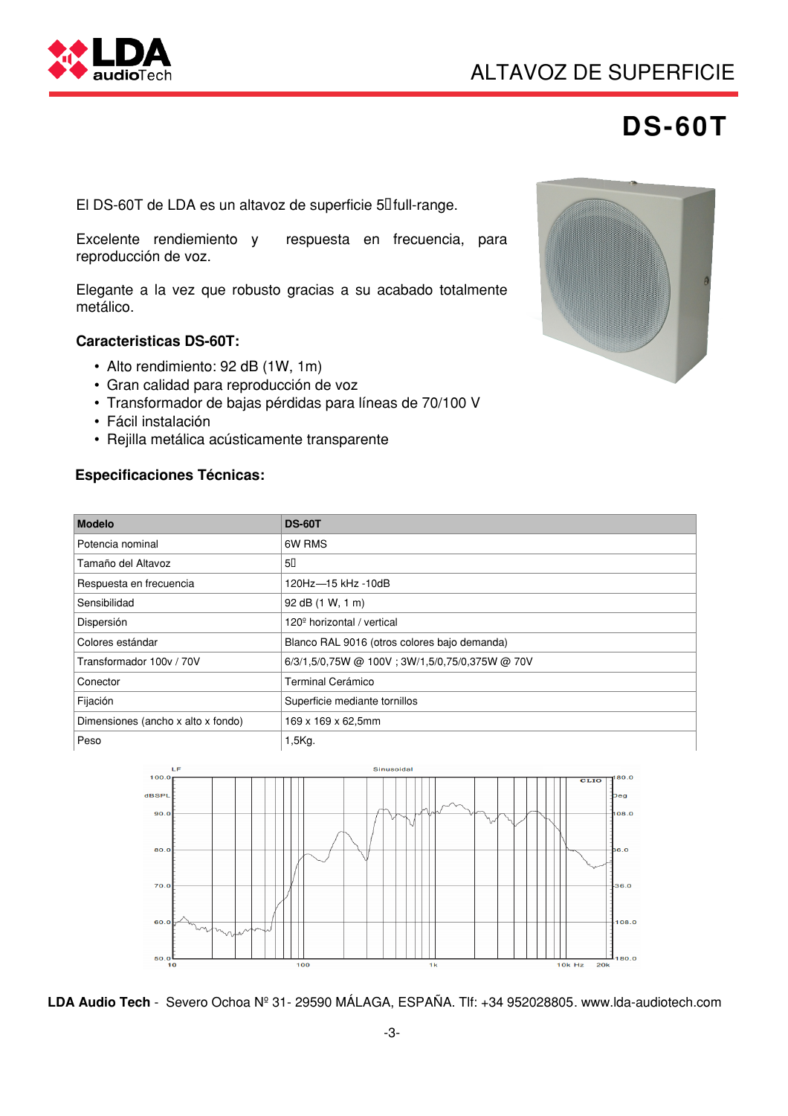



## **DS-60T**

El DS-60T de LDA es un altavoz de superficie 5<sup>I</sup> full-range.

Excelente rendiemiento y respuesta en frecuencia, para reproducción de voz.

Elegante a la vez que robusto gracias a su acabado totalmente metálico.

#### **Caracteristicas DS-60T:**

- Alto rendimiento: 92 dB (1W, 1m)
- Gran calidad para reproducción de voz
- Transformador de bajas pérdidas para líneas de 70/100 V
- Fácil instalación
- Rejilla metálica acústicamente transparente

#### **Especificaciones Técnicas:**



| <b>Modelo</b>                      | <b>DS-60T</b>                                   |
|------------------------------------|-------------------------------------------------|
| Potencia nominal                   | 6W RMS                                          |
| Tamaño del Altavoz                 | 50                                              |
| Respuesta en frecuencia            | 120Hz-15 kHz -10dB                              |
| Sensibilidad                       | 92 dB (1 W, 1 m)                                |
| Dispersión                         | 120 <sup>°</sup> horizontal / vertical          |
| Colores estándar                   | Blanco RAL 9016 (otros colores bajo demanda)    |
| Transformador 100v / 70V           | 6/3/1,5/0,75W @ 100V ; 3W/1,5/0,75/0,375W @ 70V |
| Conector                           | Terminal Cerámico                               |
| Fijación                           | Superficie mediante tornillos                   |
| Dimensiones (ancho x alto x fondo) | 169 x 169 x 62,5mm                              |
| Peso                               | $1,5Kg$ .                                       |



**LDA Audio Tech** - Severo Ochoa Nº 31- 29590 MÁLAGA, ESPAÑA. Tlf: +34 952028805. www.lda-audiotech.com